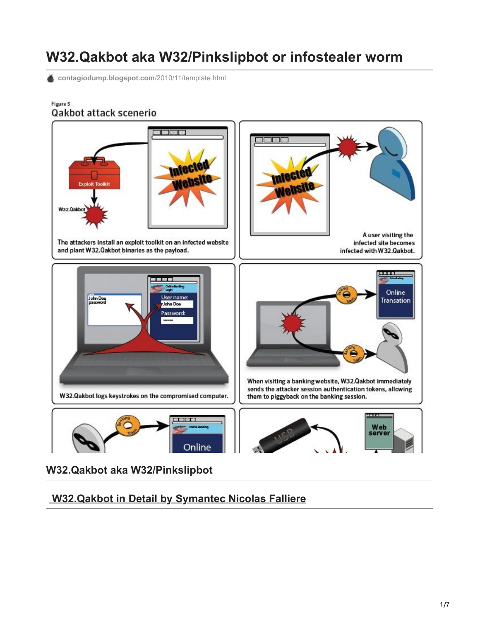# **W32.Qakbot aka W32/Pinkslipbot or infostealer worm**

[contagiodump.blogspot.com](http://contagiodump.blogspot.com/2010/11/template.html)/2010/11/template.html

#### Figure 5 Qakbot attack scenerio



**W32.Qakbot aka W32/Pinkslipbot**

# **[W32.Qakbot in Detail by Symantec Nicolas Falliere](http://www.symantec.com/content/en/us/enterprise/media/security_response/whitepapers/w32_qakbot_in_detail.pdf)**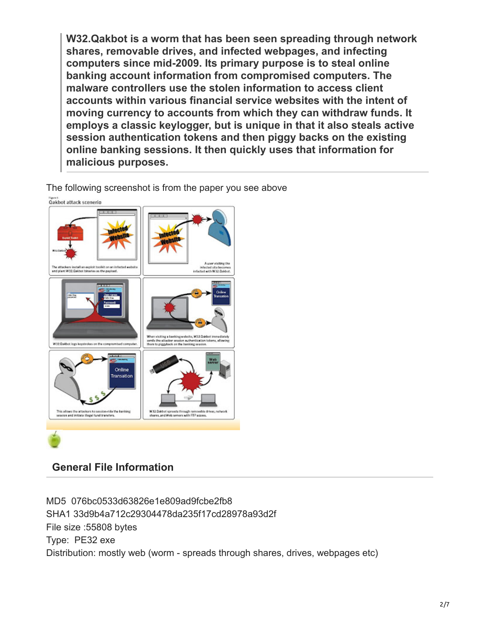**W32.Qakbot is a worm that has been seen spreading through network shares, removable drives, and infected webpages, and infecting computers since mid-2009. Its primary purpose is to steal online banking account information from compromised computers. The malware controllers use the stolen information to access client accounts within various financial service websites with the intent of moving currency to accounts from which they can withdraw funds. It employs a classic keylogger, but is unique in that it also steals active session authentication tokens and then piggy backs on the existing online banking sessions. It then quickly uses that information for malicious purposes.**

The following screenshot is from the paper you see above



# **General File Information**

MD5 076bc0533d63826e1e809ad9fcbe2fb8 SHA1 33d9b4a712c29304478da235f17cd28978a93d2f File size :55808 bytes Type: PE32 exe Distribution: mostly web (worm - spreads through shares, drives, webpages etc)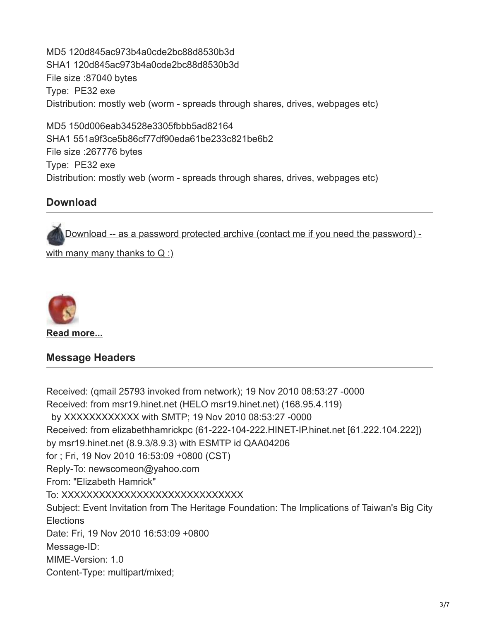MD5 120d845ac973b4a0cde2bc88d8530b3d SHA1 120d845ac973b4a0cde2bc88d8530b3d File size :87040 bytes Type: PE32 exe Distribution: mostly web (worm - spreads through shares, drives, webpages etc)

MD5 150d006eab34528e3305fbbb5ad82164 SHA1 551a9f3ce5b86cf77df90eda61be233c821be6b2 File size :267776 bytes Type: PE32 exe Distribution: mostly web (worm - spreads through shares, drives, webpages etc)

### **Download**

[Download -- as a password protected archive \(contact me if you need the password\) -](http://www.mediafire.com/?dwk46v47zu18a1l)

with many many thanks to  $Q_i$ 



**[Read more...](http://contagiodump.blogspot.com/2010/11/template.html#more)**

#### **Message Headers**

Received: (qmail 25793 invoked from network); 19 Nov 2010 08:53:27 -0000 Received: from msr19.hinet.net (HELO msr19.hinet.net) (168.95.4.119) by XXXXXXXXXXXX with SMTP; 19 Nov 2010 08:53:27 -0000 Received: from elizabethhamrickpc (61-222-104-222.HINET-IP.hinet.net [61.222.104.222]) by msr19.hinet.net (8.9.3/8.9.3) with ESMTP id QAA04206 for ; Fri, 19 Nov 2010 16:53:09 +0800 (CST) Reply-To: newscomeon@yahoo.com From: "Elizabeth Hamrick" To: XXXXXXXXXXXXXXXXXXXXXXXXXXXXX Subject: Event Invitation from The Heritage Foundation: The Implications of Taiwan's Big City **Elections** Date: Fri, 19 Nov 2010 16:53:09 +0800 Message-ID: MIME-Version: 1.0 Content-Type: multipart/mixed;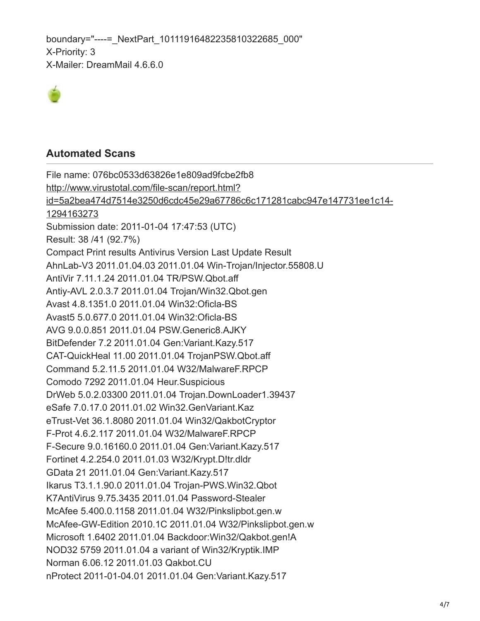boundary="----= NextPart 10111916482235810322685\_000" X-Priority: 3 X-Mailer: DreamMail 4.6.6.0



#### **Automated Scans**

File name: 076bc0533d63826e1e809ad9fcbe2fb8 http://www.virustotal.com/file-scan/report.html? [id=5a2bea474d7514e3250d6cdc45e29a67786c6c171281cabc947e147731ee1c14-](http://www.virustotal.com/file-scan/report.html?id=5a2bea474d7514e3250d6cdc45e29a67786c6c171281cabc947e147731ee1c14-1294163273) 1294163273 Submission date: 2011-01-04 17:47:53 (UTC) Result: 38 /41 (92.7%) Compact Print results Antivirus Version Last Update Result AhnLab-V3 2011.01.04.03 2011.01.04 Win-Trojan/Injector.55808.U AntiVir 7.11.1.24 2011.01.04 TR/PSW.Qbot.aff Antiy-AVL 2.0.3.7 2011.01.04 Trojan/Win32.Qbot.gen Avast 4.8.1351.0 2011.01.04 Win32:Oficla-BS Avast5 5.0.677.0 2011.01.04 Win32:Oficla-BS AVG 9.0.0.851 2011.01.04 PSW.Generic8.AJKY BitDefender 7.2 2011.01.04 Gen:Variant.Kazy.517 CAT-QuickHeal 11.00 2011.01.04 TrojanPSW.Qbot.aff Command 5.2.11.5 2011.01.04 W32/MalwareF.RPCP Comodo 7292 2011.01.04 Heur.Suspicious DrWeb 5.0.2.03300 2011.01.04 Trojan.DownLoader1.39437 eSafe 7.0.17.0 2011.01.02 Win32.GenVariant.Kaz eTrust-Vet 36.1.8080 2011.01.04 Win32/QakbotCryptor F-Prot 4.6.2.117 2011.01.04 W32/MalwareF.RPCP F-Secure 9.0.16160.0 2011.01.04 Gen:Variant.Kazy.517 Fortinet 4.2.254.0 2011.01.03 W32/Krypt.D!tr.dldr GData 21 2011.01.04 Gen:Variant.Kazy.517 Ikarus T3.1.1.90.0 2011.01.04 Trojan-PWS.Win32.Qbot K7AntiVirus 9.75.3435 2011.01.04 Password-Stealer McAfee 5.400.0.1158 2011.01.04 W32/Pinkslipbot.gen.w McAfee-GW-Edition 2010.1C 2011.01.04 W32/Pinkslipbot.gen.w Microsoft 1.6402 2011.01.04 Backdoor:Win32/Qakbot.gen!A NOD32 5759 2011.01.04 a variant of Win32/Kryptik.IMP Norman 6.06.12 2011.01.03 Qakbot.CU nProtect 2011-01-04.01 2011.01.04 Gen:Variant.Kazy.517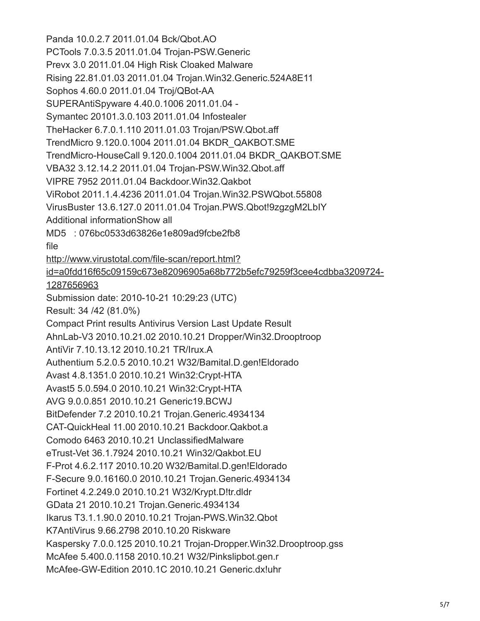Panda 10.0.2.7 2011.01.04 Bck/Qbot.AO PCTools 7.0.3.5 2011.01.04 Trojan-PSW.Generic Prevx 3.0 2011.01.04 High Risk Cloaked Malware Rising 22.81.01.03 2011.01.04 Trojan.Win32.Generic.524A8E11 Sophos 4.60.0 2011.01.04 Troj/QBot-AA SUPERAntiSpyware 4.40.0.1006 2011.01.04 - Symantec 20101.3.0.103 2011.01.04 Infostealer TheHacker 6.7.0.1.110 2011.01.03 Trojan/PSW.Qbot.aff TrendMicro 9.120.0.1004 2011.01.04 BKDR\_QAKBOT.SME TrendMicro-HouseCall 9.120.0.1004 2011.01.04 BKDR\_QAKBOT.SME VBA32 3.12.14.2 2011.01.04 Trojan-PSW.Win32.Qbot.aff VIPRE 7952 2011.01.04 Backdoor.Win32.Qakbot ViRobot 2011.1.4.4236 2011.01.04 Trojan.Win32.PSWQbot.55808 VirusBuster 13.6.127.0 2011.01.04 Trojan.PWS.Qbot!9zgzgM2LbIY Additional informationShow all MD5 : 076bc0533d63826e1e809ad9fcbe2fb8 file http://www.virustotal.com/file-scan/report.html? [id=a0fdd16f65c09159c673e82096905a68b772b5efc79259f3cee4cdbba3209724-](http://www.virustotal.com/file-scan/report.html?id=a0fdd16f65c09159c673e82096905a68b772b5efc79259f3cee4cdbba3209724-1287656963) 1287656963 Submission date: 2010-10-21 10:29:23 (UTC) Result: 34 /42 (81.0%) Compact Print results Antivirus Version Last Update Result AhnLab-V3 2010.10.21.02 2010.10.21 Dropper/Win32.Drooptroop AntiVir 7.10.13.12 2010.10.21 TR/Irux.A Authentium 5.2.0.5 2010.10.21 W32/Bamital.D.gen!Eldorado Avast 4.8.1351.0 2010.10.21 Win32:Crypt-HTA Avast5 5.0.594.0 2010.10.21 Win32:Crypt-HTA AVG 9.0.0.851 2010.10.21 Generic19.BCWJ BitDefender 7.2 2010.10.21 Trojan.Generic.4934134 CAT-QuickHeal 11.00 2010.10.21 Backdoor.Qakbot.a Comodo 6463 2010.10.21 UnclassifiedMalware eTrust-Vet 36.1.7924 2010.10.21 Win32/Qakbot.EU F-Prot 4.6.2.117 2010.10.20 W32/Bamital.D.gen!Eldorado F-Secure 9.0.16160.0 2010.10.21 Trojan.Generic.4934134 Fortinet 4.2.249.0 2010.10.21 W32/Krypt.D!tr.dldr GData 21 2010.10.21 Trojan.Generic.4934134 Ikarus T3.1.1.90.0 2010.10.21 Trojan-PWS.Win32.Qbot K7AntiVirus 9.66.2798 2010.10.20 Riskware Kaspersky 7.0.0.125 2010.10.21 Trojan-Dropper.Win32.Drooptroop.gss McAfee 5.400.0.1158 2010.10.21 W32/Pinkslipbot.gen.r McAfee-GW-Edition 2010.1C 2010.10.21 Generic.dx!uhr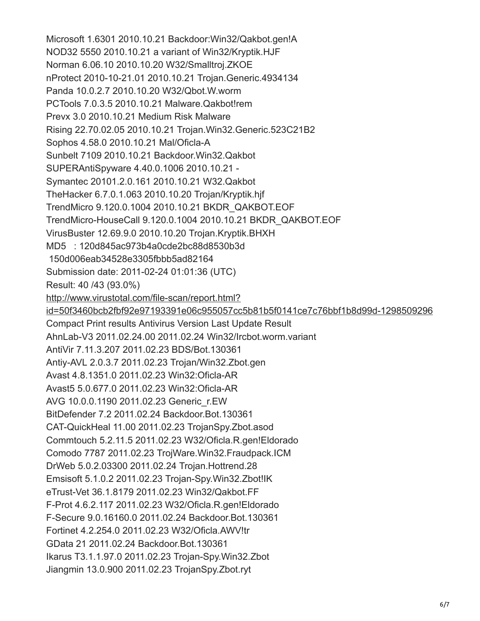Microsoft 1.6301 2010.10.21 Backdoor:Win32/Qakbot.gen!A NOD32 5550 2010.10.21 a variant of Win32/Kryptik.HJF Norman 6.06.10 2010.10.20 W32/Smalltroj.ZKOE nProtect 2010-10-21.01 2010.10.21 Trojan.Generic.4934134 Panda 10.0.2.7 2010.10.20 W32/Qbot.W.worm PCTools 7.0.3.5 2010.10.21 Malware.Qakbot!rem Prevx 3.0 2010.10.21 Medium Risk Malware Rising 22.70.02.05 2010.10.21 Trojan.Win32.Generic.523C21B2 Sophos 4.58.0 2010.10.21 Mal/Oficla-A Sunbelt 7109 2010.10.21 Backdoor.Win32.Qakbot SUPERAntiSpyware 4.40.0.1006 2010.10.21 - Symantec 20101.2.0.161 2010.10.21 W32.Qakbot TheHacker 6.7.0.1.063 2010.10.20 Trojan/Kryptik.hjf TrendMicro 9.120.0.1004 2010.10.21 BKDR\_QAKBOT.EOF TrendMicro-HouseCall 9.120.0.1004 2010.10.21 BKDR\_QAKBOT.EOF VirusBuster 12.69.9.0 2010.10.20 Trojan.Kryptik.BHXH MD5 : 120d845ac973b4a0cde2bc88d8530b3d 150d006eab34528e3305fbbb5ad82164 Submission date: 2011-02-24 01:01:36 (UTC) Result: 40 /43 (93.0%) http://www.virustotal.com/file-scan/report.html? [id=50f3460bcb2fbf92e97193391e06c955057cc5b81b5f0141ce7c76bbf1b8d99d-1298509296](http://www.virustotal.com/file-scan/report.html?id=50f3460bcb2fbf92e97193391e06c955057cc5b81b5f0141ce7c76bbf1b8d99d-1298509296) Compact Print results Antivirus Version Last Update Result AhnLab-V3 2011.02.24.00 2011.02.24 Win32/Ircbot.worm.variant AntiVir 7.11.3.207 2011.02.23 BDS/Bot.130361 Antiy-AVL 2.0.3.7 2011.02.23 Trojan/Win32.Zbot.gen Avast 4.8.1351.0 2011.02.23 Win32:Oficla-AR Avast5 5.0.677.0 2011.02.23 Win32:Oficla-AR AVG 10.0.0.1190 2011.02.23 Generic\_r.EW BitDefender 7.2 2011.02.24 Backdoor.Bot.130361 CAT-QuickHeal 11.00 2011.02.23 TrojanSpy.Zbot.asod Commtouch 5.2.11.5 2011.02.23 W32/Oficla.R.gen!Eldorado Comodo 7787 2011.02.23 TrojWare.Win32.Fraudpack.ICM DrWeb 5.0.2.03300 2011.02.24 Trojan.Hottrend.28 Emsisoft 5.1.0.2 2011.02.23 Trojan-Spy.Win32.Zbot!IK eTrust-Vet 36.1.8179 2011.02.23 Win32/Qakbot.FF F-Prot 4.6.2.117 2011.02.23 W32/Oficla.R.gen!Eldorado F-Secure 9.0.16160.0 2011.02.24 Backdoor.Bot.130361 Fortinet 4.2.254.0 2011.02.23 W32/Oficla.AWV!tr GData 21 2011.02.24 Backdoor.Bot.130361 Ikarus T3.1.1.97.0 2011.02.23 Trojan-Spy.Win32.Zbot Jiangmin 13.0.900 2011.02.23 TrojanSpy.Zbot.ryt